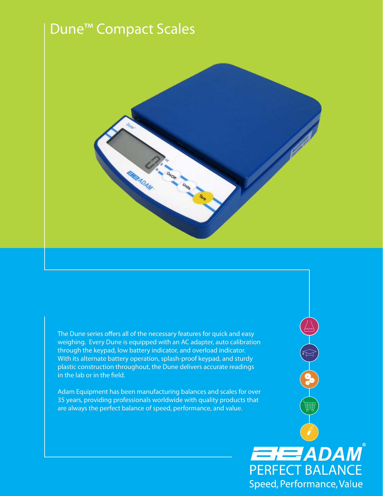# Dune™ Compact Scales



The Dune series offers all of the necessary features for quick and easy weighing. Every Dune is equipped with an AC adapter, auto calibration through the keypad, low battery indicator, and overload indicator. With its alternate battery operation, splash-proof keypad, and sturdy plastic construction throughout, the Dune delivers accurate readings in the lab or in the field.

B-CO

**ENERGIADAM** 

Speed, Performance, Value

Adam Equipment has been manufacturing balances and scales for over 35 years, providing professionals worldwide with quality products that are always the perfect balance of speed, performance, and value.